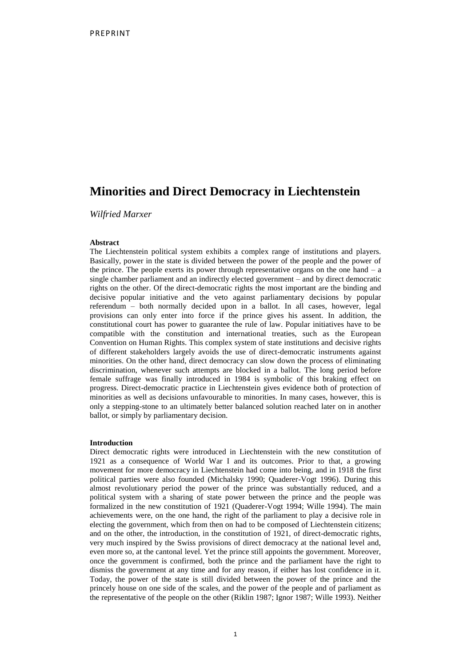# **Minorities and Direct Democracy in Liechtenstein**

*Wilfried Marxer*

# **Abstract**

The Liechtenstein political system exhibits a complex range of institutions and players. Basically, power in the state is divided between the power of the people and the power of the prince. The people exerts its power through representative organs on the one hand  $-$  a single chamber parliament and an indirectly elected government – and by direct democratic rights on the other. Of the direct-democratic rights the most important are the binding and decisive popular initiative and the veto against parliamentary decisions by popular referendum – both normally decided upon in a ballot. In all cases, however, legal provisions can only enter into force if the prince gives his assent. In addition, the constitutional court has power to guarantee the rule of law. Popular initiatives have to be compatible with the constitution and international treaties, such as the European Convention on Human Rights. This complex system of state institutions and decisive rights of different stakeholders largely avoids the use of direct-democratic instruments against minorities. On the other hand, direct democracy can slow down the process of eliminating discrimination, whenever such attempts are blocked in a ballot. The long period before female suffrage was finally introduced in 1984 is symbolic of this braking effect on progress. Direct-democratic practice in Liechtenstein gives evidence both of protection of minorities as well as decisions unfavourable to minorities. In many cases, however, this is only a stepping-stone to an ultimately better balanced solution reached later on in another ballot, or simply by parliamentary decision.

#### **Introduction**

Direct democratic rights were introduced in Liechtenstein with the new constitution of 1921 as a consequence of World War I and its outcomes. Prior to that, a growing movement for more democracy in Liechtenstein had come into being, and in 1918 the first political parties were also founded (Michalsky 1990; Quaderer-Vogt 1996). During this almost revolutionary period the power of the prince was substantially reduced, and a political system with a sharing of state power between the prince and the people was formalized in the new constitution of 1921 (Quaderer-Vogt 1994; Wille 1994). The main achievements were, on the one hand, the right of the parliament to play a decisive role in electing the government, which from then on had to be composed of Liechtenstein citizens; and on the other, the introduction, in the constitution of 1921, of direct-democratic rights, very much inspired by the Swiss provisions of direct democracy at the national level and, even more so, at the cantonal level. Yet the prince still appoints the government. Moreover, once the government is confirmed, both the prince and the parliament have the right to dismiss the government at any time and for any reason, if either has lost confidence in it. Today, the power of the state is still divided between the power of the prince and the princely house on one side of the scales, and the power of the people and of parliament as the representative of the people on the other (Riklin 1987; Ignor 1987; Wille 1993). Neither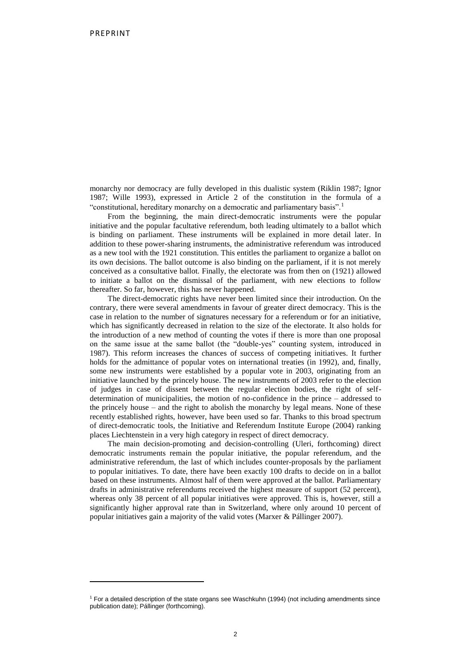1

monarchy nor democracy are fully developed in this dualistic system (Riklin 1987; Ignor 1987; Wille 1993), expressed in Article 2 of the constitution in the formula of a "constitutional, hereditary monarchy on a democratic and parliamentary basis".<sup>1</sup>

From the beginning, the main direct-democratic instruments were the popular initiative and the popular facultative referendum, both leading ultimately to a ballot which is binding on parliament. These instruments will be explained in more detail later. In addition to these power-sharing instruments, the administrative referendum was introduced as a new tool with the 1921 constitution. This entitles the parliament to organize a ballot on its own decisions. The ballot outcome is also binding on the parliament, if it is not merely conceived as a consultative ballot. Finally, the electorate was from then on (1921) allowed to initiate a ballot on the dismissal of the parliament, with new elections to follow thereafter. So far, however, this has never happened.

The direct-democratic rights have never been limited since their introduction. On the contrary, there were several amendments in favour of greater direct democracy. This is the case in relation to the number of signatures necessary for a referendum or for an initiative, which has significantly decreased in relation to the size of the electorate. It also holds for the introduction of a new method of counting the votes if there is more than one proposal on the same issue at the same ballot (the "double-yes" counting system, introduced in 1987). This reform increases the chances of success of competing initiatives. It further holds for the admittance of popular votes on international treaties (in 1992), and, finally, some new instruments were established by a popular vote in 2003, originating from an initiative launched by the princely house. The new instruments of 2003 refer to the election of judges in case of dissent between the regular election bodies, the right of selfdetermination of municipalities, the motion of no-confidence in the prince – addressed to the princely house – and the right to abolish the monarchy by legal means. None of these recently established rights, however, have been used so far. Thanks to this broad spectrum of direct-democratic tools, the Initiative and Referendum Institute Europe (2004) ranking places Liechtenstein in a very high category in respect of direct democracy.

The main decision-promoting and decision-controlling (Uleri, forthcoming) direct democratic instruments remain the popular initiative, the popular referendum, and the administrative referendum, the last of which includes counter-proposals by the parliament to popular initiatives. To date, there have been exactly 100 drafts to decide on in a ballot based on these instruments. Almost half of them were approved at the ballot. Parliamentary drafts in administrative referendums received the highest measure of support (52 percent), whereas only 38 percent of all popular initiatives were approved. This is, however, still a significantly higher approval rate than in Switzerland, where only around 10 percent of popular initiatives gain a majority of the valid votes (Marxer & Pállinger 2007).

<sup>1</sup> For a detailed description of the state organs see Waschkuhn (1994) (not including amendments since publication date); Pállinger (forthcoming).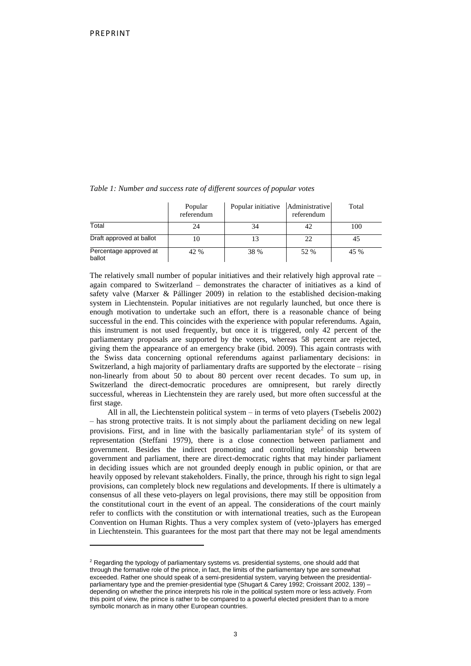$\ddot{\phantom{a}}$ 

|                                  | Popular<br>referendum | Popular initiative Administrative | referendum | Total |
|----------------------------------|-----------------------|-----------------------------------|------------|-------|
| Total                            | 24                    | 34                                | 42         | 100   |
| Draft approved at ballot         | 10                    |                                   | 22         | 45    |
| Percentage approved at<br>ballot | 42 %                  | 38 %                              | 52 %       | 45 %  |

*Table 1: Number and success rate of different sources of popular votes*

The relatively small number of popular initiatives and their relatively high approval rate – again compared to Switzerland – demonstrates the character of initiatives as a kind of safety valve (Marxer & Pállinger 2009) in relation to the established decision-making system in Liechtenstein. Popular initiatives are not regularly launched, but once there is enough motivation to undertake such an effort, there is a reasonable chance of being successful in the end. This coincides with the experience with popular referendums. Again, this instrument is not used frequently, but once it is triggered, only 42 percent of the parliamentary proposals are supported by the voters, whereas 58 percent are rejected, giving them the appearance of an emergency brake (ibid. 2009). This again contrasts with the Swiss data concerning optional referendums against parliamentary decisions: in Switzerland, a high majority of parliamentary drafts are supported by the electorate – rising non-linearly from about 50 to about 80 percent over recent decades. To sum up, in Switzerland the direct-democratic procedures are omnipresent, but rarely directly successful, whereas in Liechtenstein they are rarely used, but more often successful at the first stage.

All in all, the Liechtenstein political system – in terms of veto players (Tsebelis 2002) – has strong protective traits. It is not simply about the parliament deciding on new legal provisions. First, and in line with the basically parliamentarian style<sup>2</sup> of its system of representation (Steffani 1979), there is a close connection between parliament and government. Besides the indirect promoting and controlling relationship between government and parliament, there are direct-democratic rights that may hinder parliament in deciding issues which are not grounded deeply enough in public opinion, or that are heavily opposed by relevant stakeholders. Finally, the prince, through his right to sign legal provisions, can completely block new regulations and developments. If there is ultimately a consensus of all these veto-players on legal provisions, there may still be opposition from the constitutional court in the event of an appeal. The considerations of the court mainly refer to conflicts with the constitution or with international treaties, such as the European Convention on Human Rights. Thus a very complex system of (veto-)players has emerged in Liechtenstein. This guarantees for the most part that there may not be legal amendments

<sup>&</sup>lt;sup>2</sup> Regarding the typology of parliamentary systems vs. presidential systems, one should add that through the formative role of the prince, in fact, the limits of the parliamentary type are somewhat exceeded. Rather one should speak of a semi-presidential system, varying between the presidentialparliamentary type and the premier-presidential type (Shugart & Carey 1992; Croissant 2002, 139) – depending on whether the prince interprets his role in the political system more or less actively. From this point of view, the prince is rather to be compared to a powerful elected president than to a more symbolic monarch as in many other European countries.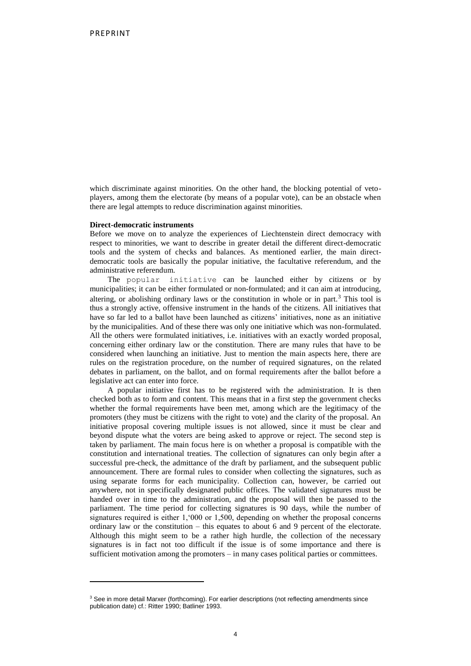which discriminate against minorities. On the other hand, the blocking potential of vetoplayers, among them the electorate (by means of a popular vote), can be an obstacle when there are legal attempts to reduce discrimination against minorities.

# **Direct-democratic instruments**

1

Before we move on to analyze the experiences of Liechtenstein direct democracy with respect to minorities, we want to describe in greater detail the different direct-democratic tools and the system of checks and balances. As mentioned earlier, the main directdemocratic tools are basically the popular initiative, the facultative referendum, and the administrative referendum.

The popular initiative can be launched either by citizens or by municipalities; it can be either formulated or non-formulated; and it can aim at introducing, altering, or abolishing ordinary laws or the constitution in whole or in part.<sup>3</sup> This tool is thus a strongly active, offensive instrument in the hands of the citizens. All initiatives that have so far led to a ballot have been launched as citizens' initiatives, none as an initiative by the municipalities. And of these there was only one initiative which was non-formulated. All the others were formulated initiatives, i.e. initiatives with an exactly worded proposal, concerning either ordinary law or the constitution. There are many rules that have to be considered when launching an initiative. Just to mention the main aspects here, there are rules on the registration procedure, on the number of required signatures, on the related debates in parliament, on the ballot, and on formal requirements after the ballot before a legislative act can enter into force.

A popular initiative first has to be registered with the administration. It is then checked both as to form and content. This means that in a first step the government checks whether the formal requirements have been met, among which are the legitimacy of the promoters (they must be citizens with the right to vote) and the clarity of the proposal. An initiative proposal covering multiple issues is not allowed, since it must be clear and beyond dispute what the voters are being asked to approve or reject. The second step is taken by parliament. The main focus here is on whether a proposal is compatible with the constitution and international treaties. The collection of signatures can only begin after a successful pre-check, the admittance of the draft by parliament, and the subsequent public announcement. There are formal rules to consider when collecting the signatures, such as using separate forms for each municipality. Collection can, however, be carried out anywhere, not in specifically designated public offices. The validated signatures must be handed over in time to the administration, and the proposal will then be passed to the parliament. The time period for collecting signatures is 90 days, while the number of signatures required is either 1,'000 or 1,500, depending on whether the proposal concerns ordinary law or the constitution – this equates to about 6 and 9 percent of the electorate. Although this might seem to be a rather high hurdle, the collection of the necessary signatures is in fact not too difficult if the issue is of some importance and there is sufficient motivation among the promoters – in many cases political parties or committees.

<sup>&</sup>lt;sup>3</sup> See in more detail Marxer (forthcoming). For earlier descriptions (not reflecting amendments since publication date) cf.: Ritter 1990; Batliner 1993.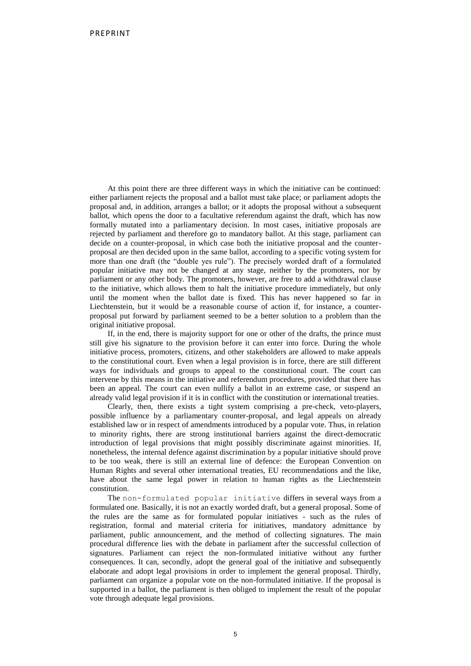At this point there are three different ways in which the initiative can be continued: either parliament rejects the proposal and a ballot must take place; or parliament adopts the proposal and, in addition, arranges a ballot; or it adopts the proposal without a subsequent ballot, which opens the door to a facultative referendum against the draft, which has now formally mutated into a parliamentary decision. In most cases, initiative proposals are rejected by parliament and therefore go to mandatory ballot. At this stage, parliament can decide on a counter-proposal, in which case both the initiative proposal and the counterproposal are then decided upon in the same ballot, according to a specific voting system for more than one draft (the "double yes rule"). The precisely worded draft of a formulated popular initiative may not be changed at any stage, neither by the promoters, nor by parliament or any other body. The promoters, however, are free to add a withdrawal clause to the initiative, which allows them to halt the initiative procedure immediately, but only until the moment when the ballot date is fixed. This has never happened so far in Liechtenstein, but it would be a reasonable course of action if, for instance, a counterproposal put forward by parliament seemed to be a better solution to a problem than the original initiative proposal.

If, in the end, there is majority support for one or other of the drafts, the prince must still give his signature to the provision before it can enter into force. During the whole initiative process, promoters, citizens, and other stakeholders are allowed to make appeals to the constitutional court. Even when a legal provision is in force, there are still different ways for individuals and groups to appeal to the constitutional court. The court can intervene by this means in the initiative and referendum procedures, provided that there has been an appeal. The court can even nullify a ballot in an extreme case, or suspend an already valid legal provision if it is in conflict with the constitution or international treaties.

Clearly, then, there exists a tight system comprising a pre-check, veto-players, possible influence by a parliamentary counter-proposal, and legal appeals on already established law or in respect of amendments introduced by a popular vote. Thus, in relation to minority rights, there are strong institutional barriers against the direct-democratic introduction of legal provisions that might possibly discriminate against minorities. If, nonetheless, the internal defence against discrimination by a popular initiative should prove to be too weak, there is still an external line of defence: the European Convention on Human Rights and several other international treaties, EU recommendations and the like, have about the same legal power in relation to human rights as the Liechtenstein constitution.

The non-formulated popular initiative differs in several ways from a formulated one. Basically, it is not an exactly worded draft, but a general proposal. Some of the rules are the same as for formulated popular initiatives - such as the rules of registration, formal and material criteria for initiatives, mandatory admittance by parliament, public announcement, and the method of collecting signatures. The main procedural difference lies with the debate in parliament after the successful collection of signatures. Parliament can reject the non-formulated initiative without any further consequences. It can, secondly, adopt the general goal of the initiative and subsequently elaborate and adopt legal provisions in order to implement the general proposal. Thirdly, parliament can organize a popular vote on the non-formulated initiative. If the proposal is supported in a ballot, the parliament is then obliged to implement the result of the popular vote through adequate legal provisions.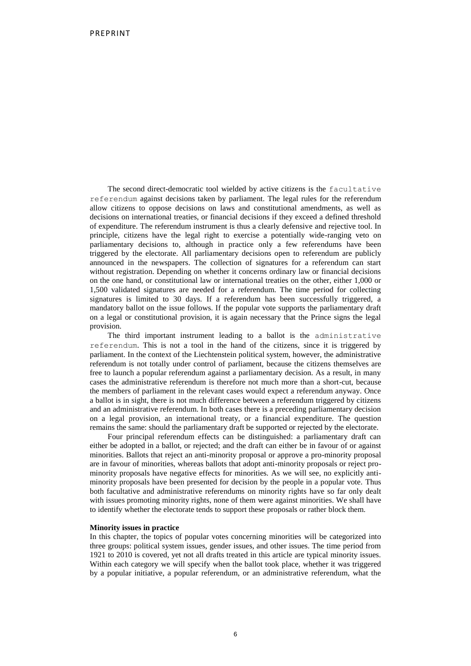The second direct-democratic tool wielded by active citizens is the facultative referendum against decisions taken by parliament. The legal rules for the referendum allow citizens to oppose decisions on laws and constitutional amendments, as well as decisions on international treaties, or financial decisions if they exceed a defined threshold of expenditure. The referendum instrument is thus a clearly defensive and rejective tool. In principle, citizens have the legal right to exercise a potentially wide-ranging veto on parliamentary decisions to, although in practice only a few referendums have been triggered by the electorate. All parliamentary decisions open to referendum are publicly announced in the newspapers. The collection of signatures for a referendum can start without registration. Depending on whether it concerns ordinary law or financial decisions on the one hand, or constitutional law or international treaties on the other, either 1,000 or 1,500 validated signatures are needed for a referendum. The time period for collecting signatures is limited to 30 days. If a referendum has been successfully triggered, a mandatory ballot on the issue follows. If the popular vote supports the parliamentary draft on a legal or constitutional provision, it is again necessary that the Prince signs the legal provision.

The third important instrument leading to a ballot is the administrative referendum. This is not a tool in the hand of the citizens, since it is triggered by parliament. In the context of the Liechtenstein political system, however, the administrative referendum is not totally under control of parliament, because the citizens themselves are free to launch a popular referendum against a parliamentary decision. As a result, in many cases the administrative referendum is therefore not much more than a short-cut, because the members of parliament in the relevant cases would expect a referendum anyway. Once a ballot is in sight, there is not much difference between a referendum triggered by citizens and an administrative referendum. In both cases there is a preceding parliamentary decision on a legal provision, an international treaty, or a financial expenditure. The question remains the same: should the parliamentary draft be supported or rejected by the electorate.

Four principal referendum effects can be distinguished: a parliamentary draft can either be adopted in a ballot, or rejected; and the draft can either be in favour of or against minorities. Ballots that reject an anti-minority proposal or approve a pro-minority proposal are in favour of minorities, whereas ballots that adopt anti-minority proposals or reject prominority proposals have negative effects for minorities. As we will see, no explicitly antiminority proposals have been presented for decision by the people in a popular vote. Thus both facultative and administrative referendums on minority rights have so far only dealt with issues promoting minority rights, none of them were against minorities. We shall have to identify whether the electorate tends to support these proposals or rather block them.

#### **Minority issues in practice**

In this chapter, the topics of popular votes concerning minorities will be categorized into three groups: political system issues, gender issues, and other issues. The time period from 1921 to 2010 is covered, yet not all drafts treated in this article are typical minority issues. Within each category we will specify when the ballot took place, whether it was triggered by a popular initiative, a popular referendum, or an administrative referendum, what the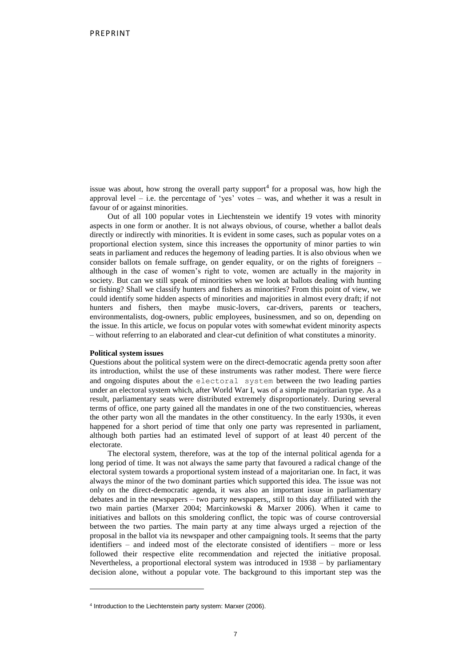issue was about, how strong the overall party support<sup>4</sup> for a proposal was, how high the approval level – i.e. the percentage of 'yes' votes – was, and whether it was a result in favour of or against minorities.

Out of all 100 popular votes in Liechtenstein we identify 19 votes with minority aspects in one form or another. It is not always obvious, of course, whether a ballot deals directly or indirectly with minorities. It is evident in some cases, such as popular votes on a proportional election system, since this increases the opportunity of minor parties to win seats in parliament and reduces the hegemony of leading parties. It is also obvious when we consider ballots on female suffrage, on gender equality, or on the rights of foreigners – although in the case of women's right to vote, women are actually in the majority in society. But can we still speak of minorities when we look at ballots dealing with hunting or fishing? Shall we classify hunters and fishers as minorities? From this point of view, we could identify some hidden aspects of minorities and majorities in almost every draft; if not hunters and fishers, then maybe music-lovers, car-drivers, parents or teachers, environmentalists, dog-owners, public employees, businessmen, and so on, depending on the issue. In this article, we focus on popular votes with somewhat evident minority aspects – without referring to an elaborated and clear-cut definition of what constitutes a minority.

#### **Political system issues**

 $\ddot{\phantom{a}}$ 

Questions about the political system were on the direct-democratic agenda pretty soon after its introduction, whilst the use of these instruments was rather modest. There were fierce and ongoing disputes about the electoral system between the two leading parties under an electoral system which, after World War I, was of a simple majoritarian type. As a result, parliamentary seats were distributed extremely disproportionately. During several terms of office, one party gained all the mandates in one of the two constituencies, whereas the other party won all the mandates in the other constituency. In the early 1930s, it even happened for a short period of time that only one party was represented in parliament, although both parties had an estimated level of support of at least 40 percent of the electorate.

The electoral system, therefore, was at the top of the internal political agenda for a long period of time. It was not always the same party that favoured a radical change of the electoral system towards a proportional system instead of a majoritarian one. In fact, it was always the minor of the two dominant parties which supported this idea. The issue was not only on the direct-democratic agenda, it was also an important issue in parliamentary debates and in the newspapers – two party newspapers,, still to this day affiliated with the two main parties (Marxer 2004; Marcinkowski & Marxer 2006). When it came to initiatives and ballots on this smoldering conflict, the topic was of course controversial between the two parties. The main party at any time always urged a rejection of the proposal in the ballot via its newspaper and other campaigning tools. It seems that the party identifiers – and indeed most of the electorate consisted of identifiers – more or less followed their respective elite recommendation and rejected the initiative proposal. Nevertheless, a proportional electoral system was introduced in 1938 – by parliamentary decision alone, without a popular vote. The background to this important step was the

<sup>4</sup> Introduction to the Liechtenstein party system: Marxer (2006).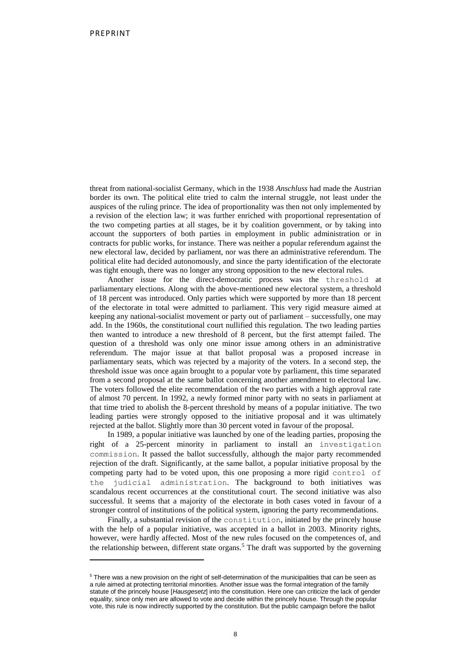$\ddot{\phantom{a}}$ 

threat from national-socialist Germany, which in the 1938 *Anschluss* had made the Austrian border its own. The political elite tried to calm the internal struggle, not least under the auspices of the ruling prince. The idea of proportionality was then not only implemented by a revision of the election law; it was further enriched with proportional representation of the two competing parties at all stages, be it by coalition government, or by taking into account the supporters of both parties in employment in public administration or in contracts for public works, for instance. There was neither a popular referendum against the new electoral law, decided by parliament, nor was there an administrative referendum. The political elite had decided autonomously, and since the party identification of the electorate was tight enough, there was no longer any strong opposition to the new electoral rules.

Another issue for the direct-democratic process was the threshold at parliamentary elections. Along with the above-mentioned new electoral system, a threshold of 18 percent was introduced. Only parties which were supported by more than 18 percent of the electorate in total were admitted to parliament. This very rigid measure aimed at keeping any national-socialist movement or party out of parliament – successfully, one may add. In the 1960s, the constitutional court nullified this regulation. The two leading parties then wanted to introduce a new threshold of 8 percent, but the first attempt failed. The question of a threshold was only one minor issue among others in an administrative referendum. The major issue at that ballot proposal was a proposed increase in parliamentary seats, which was rejected by a majority of the voters. In a second step, the threshold issue was once again brought to a popular vote by parliament, this time separated from a second proposal at the same ballot concerning another amendment to electoral law. The voters followed the elite recommendation of the two parties with a high approval rate of almost 70 percent. In 1992, a newly formed minor party with no seats in parliament at that time tried to abolish the 8-percent threshold by means of a popular initiative. The two leading parties were strongly opposed to the initiative proposal and it was ultimately rejected at the ballot. Slightly more than 30 percent voted in favour of the proposal.

In 1989, a popular initiative was launched by one of the leading parties, proposing the right of a 25-percent minority in parliament to install an investigation commission. It passed the ballot successfully, although the major party recommended rejection of the draft. Significantly, at the same ballot, a popular initiative proposal by the competing party had to be voted upon, this one proposing a more rigid control of the judicial administration. The background to both initiatives was scandalous recent occurrences at the constitutional court. The second initiative was also successful. It seems that a majority of the electorate in both cases voted in favour of a stronger control of institutions of the political system, ignoring the party recommendations.

Finally, a substantial revision of the constitution, initiated by the princely house with the help of a popular initiative, was accepted in a ballot in 2003. Minority rights, however, were hardly affected. Most of the new rules focused on the competences of, and the relationship between, different state organs.<sup>5</sup> The draft was supported by the governing

<sup>5</sup> There was a new provision on the right of self-determination of the municipalities that can be seen as a rule aimed at protecting territorial minorities. Another issue was the formal integration of the family statute of the princely house [*Hausgesetz*] into the constitution. Here one can criticize the lack of gender equality, since only men are allowed to vote and decide within the princely house. Through the popular vote, this rule is now indirectly supported by the constitution. But the public campaign before the ballot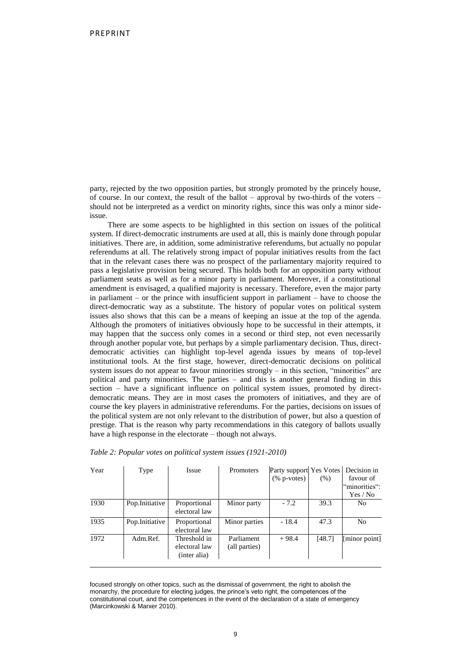party, rejected by the two opposition parties, but strongly promoted by the princely house, of course. In our context, the result of the ballot – approval by two-thirds of the voters – should not be interpreted as a verdict on minority rights, since this was only a minor sideissue.

There are some aspects to be highlighted in this section on issues of the political system. If direct-democratic instruments are used at all, this is mainly done through popular initiatives. There are, in addition, some administrative referendums, but actually no popular referendums at all. The relatively strong impact of popular initiatives results from the fact that in the relevant cases there was no prospect of the parliamentary majority required to pass a legislative provision being secured. This holds both for an opposition party without parliament seats as well as for a minor party in parliament. Moreover, if a constitutional amendment is envisaged, a qualified majority is necessary. Therefore, even the major party in parliament – or the prince with insufficient support in parliament – have to choose the direct-democratic way as a substitute. The history of popular votes on political system issues also shows that this can be a means of keeping an issue at the top of the agenda. Although the promoters of initiatives obviously hope to be successful in their attempts, it may happen that the success only comes in a second or third step, not even necessarily through another popular vote, but perhaps by a simple parliamentary decision. Thus, directdemocratic activities can highlight top-level agenda issues by means of top-level institutional tools. At the first stage, however, direct-democratic decisions on political system issues do not appear to favour minorities strongly – in this section, "minorities" are political and party minorities. The parties – and this is another general finding in this section – have a significant influence on political system issues, promoted by directdemocratic means. They are in most cases the promoters of initiatives, and they are of course the key players in administrative referendums. For the parties, decisions on issues of the political system are not only relevant to the distribution of power, but also a question of prestige. That is the reason why party recommendations in this category of ballots usually have a high response in the electorate – though not always.

| Year | Type           | <b>Issue</b>                                  | <b>Promoters</b>            | Party support Yes Votes   Decision in<br>$(\%$ p-votes) | (% )   | favour of<br>"minorities":<br>Yes / No |
|------|----------------|-----------------------------------------------|-----------------------------|---------------------------------------------------------|--------|----------------------------------------|
| 1930 | Pop.Initiative | Proportional<br>electoral law                 | Minor party                 | $-7.2$                                                  | 39.3   | No                                     |
| 1935 | Pop.Initiative | Proportional<br>electoral law                 | Minor parties               | $-18.4$                                                 | 47.3   | N <sub>0</sub>                         |
| 1972 | Adm.Ref.       | Threshold in<br>electoral law<br>(inter alia) | Parliament<br>(all parties) | $+98.4$                                                 | [48.7] | [minor point]                          |

*Table 2: Popular votes on political system issues (1921-2010)*

focused strongly on other topics, such as the dismissal of government, the right to abolish the monarchy, the procedure for electing judges, the prince's veto right, the competences of the constitutional court, and the competences in the event of the declaration of a state of emergency (Marcinkowski & Marxer 2010).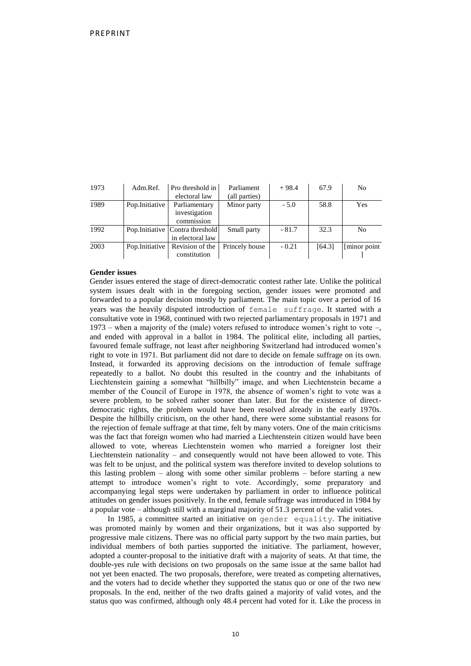| 1973 | Adm.Ref.       | Pro threshold in<br>electoral law                    | Parliament<br>(all parties) | $+98.4$ | 67.9   | No            |
|------|----------------|------------------------------------------------------|-----------------------------|---------|--------|---------------|
| 1989 | Pop.Initiative | Parliamentary<br>investigation<br>commission         | Minor party                 | $-5.0$  | 58.8   | Yes           |
| 1992 |                | Pop. Initiative Contra threshold<br>in electoral law | Small party                 | $-81.7$ | 32.3   | No            |
| 2003 | Pop.Initiative | Revision of the<br>constitution                      | Princely house              | $-0.21$ | [64.3] | [minor point] |

### **Gender issues**

Gender issues entered the stage of direct-democratic contest rather late. Unlike the political system issues dealt with in the foregoing section, gender issues were promoted and forwarded to a popular decision mostly by parliament. The main topic over a period of 16 years was the heavily disputed introduction of female suffrage. It started with a consultative vote in 1968, continued with two rejected parliamentary proposals in 1971 and 1973 – when a majority of the (male) voters refused to introduce women's right to vote –, and ended with approval in a ballot in 1984. The political elite, including all parties, favoured female suffrage, not least after neighboring Switzerland had introduced women's right to vote in 1971. But parliament did not dare to decide on female suffrage on its own. Instead, it forwarded its approving decisions on the introduction of female suffrage repeatedly to a ballot. No doubt this resulted in the country and the inhabitants of Liechtenstein gaining a somewhat "hillbilly" image, and when Liechtenstein became a member of the Council of Europe in 1978, the absence of women's right to vote was a severe problem, to be solved rather sooner than later. But for the existence of directdemocratic rights, the problem would have been resolved already in the early 1970s. Despite the hillbilly criticism, on the other hand, there were some substantial reasons for the rejection of female suffrage at that time, felt by many voters. One of the main criticisms was the fact that foreign women who had married a Liechtenstein citizen would have been allowed to vote, whereas Liechtenstein women who married a foreigner lost their Liechtenstein nationality – and consequently would not have been allowed to vote. This was felt to be unjust, and the political system was therefore invited to develop solutions to this lasting problem – along with some other similar problems – before starting a new attempt to introduce women's right to vote. Accordingly, some preparatory and accompanying legal steps were undertaken by parliament in order to influence political attitudes on gender issues positively. In the end, female suffrage was introduced in 1984 by a popular vote – although still with a marginal majority of 51.3 percent of the valid votes.

In 1985, a committee started an initiative on gender equality. The initiative was promoted mainly by women and their organizations, but it was also supported by progressive male citizens. There was no official party support by the two main parties, but individual members of both parties supported the initiative. The parliament, however, adopted a counter-proposal to the initiative draft with a majority of seats. At that time, the double-yes rule with decisions on two proposals on the same issue at the same ballot had not yet been enacted. The two proposals, therefore, were treated as competing alternatives, and the voters had to decide whether they supported the status quo or one of the two new proposals. In the end, neither of the two drafts gained a majority of valid votes, and the status quo was confirmed, although only 48.4 percent had voted for it. Like the process in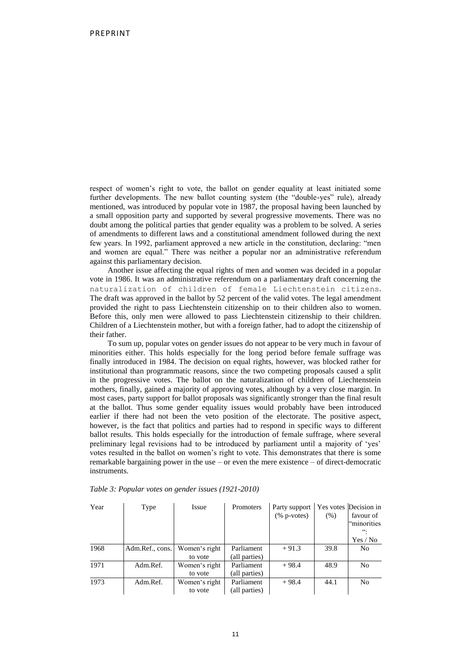respect of women's right to vote, the ballot on gender equality at least initiated some further developments. The new ballot counting system (the "double-yes" rule), already mentioned, was introduced by popular vote in 1987, the proposal having been launched by a small opposition party and supported by several progressive movements. There was no doubt among the political parties that gender equality was a problem to be solved. A series of amendments to different laws and a constitutional amendment followed during the next few years. In 1992, parliament approved a new article in the constitution, declaring: "men and women are equal." There was neither a popular nor an administrative referendum against this parliamentary decision.

Another issue affecting the equal rights of men and women was decided in a popular vote in 1986. It was an administrative referendum on a parliamentary draft concerning the naturalization of children of female Liechtenstein citizens. The draft was approved in the ballot by 52 percent of the valid votes. The legal amendment provided the right to pass Liechtenstein citizenship on to their children also to women. Before this, only men were allowed to pass Liechtenstein citizenship to their children. Children of a Liechtenstein mother, but with a foreign father, had to adopt the citizenship of their father.

To sum up, popular votes on gender issues do not appear to be very much in favour of minorities either. This holds especially for the long period before female suffrage was finally introduced in 1984. The decision on equal rights, however, was blocked rather for institutional than programmatic reasons, since the two competing proposals caused a split in the progressive votes. The ballot on the naturalization of children of Liechtenstein mothers, finally, gained a majority of approving votes, although by a very close margin. In most cases, party support for ballot proposals was significantly stronger than the final result at the ballot. Thus some gender equality issues would probably have been introduced earlier if there had not been the veto position of the electorate. The positive aspect, however, is the fact that politics and parties had to respond in specific ways to different ballot results. This holds especially for the introduction of female suffrage, where several preliminary legal revisions had to be introduced by parliament until a majority of 'yes' votes resulted in the ballot on women's right to vote. This demonstrates that there is some remarkable bargaining power in the use – or even the mere existence – of direct-democratic instruments.

| Year | Type            | Issue         | Promoters     | Party support<br>$(\%$ p-votes) | $(\%)$ | Yes votes Decision in<br>favour of<br>"minorities<br>$cc_1$<br>Yes / No |
|------|-----------------|---------------|---------------|---------------------------------|--------|-------------------------------------------------------------------------|
| 1968 | Adm.Ref., cons. | Women's right | Parliament    | $+91.3$                         | 39.8   | N <sub>0</sub>                                                          |
|      |                 | to vote       | (all parties) |                                 |        |                                                                         |
| 1971 | Adm.Ref.        | Women's right | Parliament    | $+98.4$                         | 48.9   | No                                                                      |
|      |                 | to vote       | (all parties) |                                 |        |                                                                         |
| 1973 | Adm.Ref.        | Women's right | Parliament    | $+98.4$                         | 44.1   | N <sub>0</sub>                                                          |
|      |                 | to vote       | (all parties) |                                 |        |                                                                         |

*Table 3: Popular votes on gender issues (1921-2010)*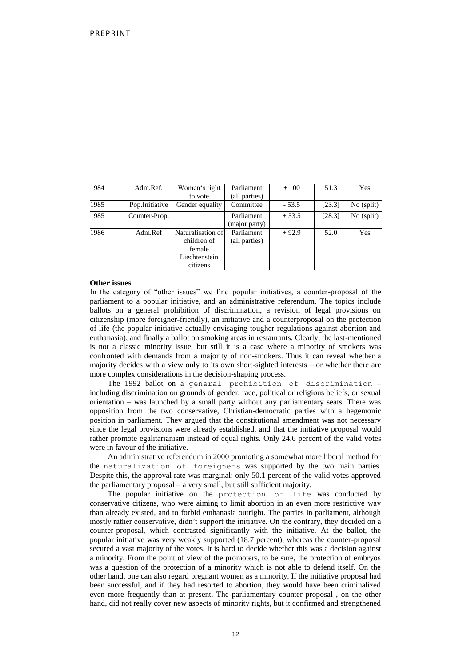| 1984 | Adm.Ref.       | Women's right<br>to vote                                                | Parliament<br>(all parties) | $+100$  | 51.3   | Yes          |
|------|----------------|-------------------------------------------------------------------------|-----------------------------|---------|--------|--------------|
| 1985 | Pop.Initiative | Gender equality                                                         | Committee                   | $-53.5$ | [23.3] | $No$ (split) |
| 1985 | Counter-Prop.  |                                                                         | Parliament<br>(major party) | $+53.5$ | [28.3] | $No$ (split) |
| 1986 | Adm.Ref        | Naturalisation of<br>children of<br>female<br>Liechtenstein<br>citizens | Parliament<br>(all parties) | $+92.9$ | 52.0   | Yes          |

## **Other issues**

In the category of "other issues" we find popular initiatives, a counter-proposal of the parliament to a popular initiative, and an administrative referendum. The topics include ballots on a general prohibition of discrimination, a revision of legal provisions on citizenship (more foreigner-friendly), an initiative and a counterproposal on the protection of life (the popular initiative actually envisaging tougher regulations against abortion and euthanasia), and finally a ballot on smoking areas in restaurants. Clearly, the last-mentioned is not a classic minority issue, but still it is a case where a minority of smokers was confronted with demands from a majority of non-smokers. Thus it can reveal whether a majority decides with a view only to its own short-sighted interests – or whether there are more complex considerations in the decision-shaping process.

The 1992 ballot on a general prohibition of discrimination – including discrimination on grounds of gender, race, political or religious beliefs, or sexual orientation – was launched by a small party without any parliamentary seats. There was opposition from the two conservative, Christian-democratic parties with a hegemonic position in parliament. They argued that the constitutional amendment was not necessary since the legal provisions were already established, and that the initiative proposal would rather promote egalitarianism instead of equal rights. Only 24.6 percent of the valid votes were in favour of the initiative.

An administrative referendum in 2000 promoting a somewhat more liberal method for the naturalization of foreigners was supported by the two main parties. Despite this, the approval rate was marginal: only 50.1 percent of the valid votes approved the parliamentary proposal – a very small, but still sufficient majority.

The popular initiative on the protection of life was conducted by conservative citizens, who were aiming to limit abortion in an even more restrictive way than already existed, and to forbid euthanasia outright. The parties in parliament, although mostly rather conservative, didn't support the initiative. On the contrary, they decided on a counter-proposal, which contrasted significantly with the initiative. At the ballot, the popular initiative was very weakly supported (18.7 percent), whereas the counter-proposal secured a vast majority of the votes. It is hard to decide whether this was a decision against a minority. From the point of view of the promoters, to be sure, the protection of embryos was a question of the protection of a minority which is not able to defend itself. On the other hand, one can also regard pregnant women as a minority. If the initiative proposal had been successful, and if they had resorted to abortion, they would have been criminalized even more frequently than at present. The parliamentary counter-proposal , on the other hand, did not really cover new aspects of minority rights, but it confirmed and strengthened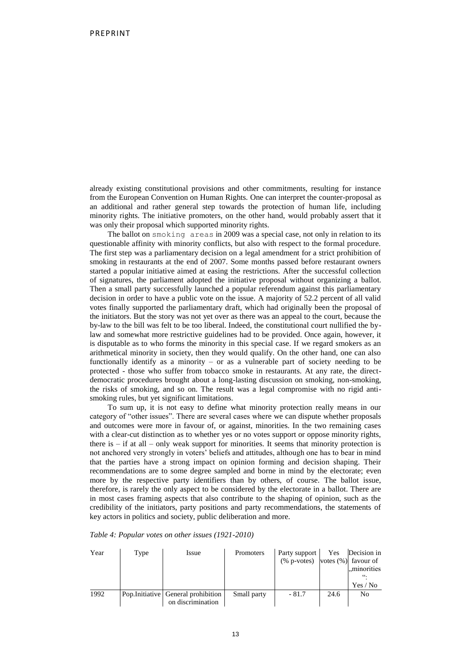already existing constitutional provisions and other commitments, resulting for instance from the European Convention on Human Rights. One can interpret the counter-proposal as an additional and rather general step towards the protection of human life, including minority rights. The initiative promoters, on the other hand, would probably assert that it was only their proposal which supported minority rights.

The ballot on smoking areas in 2009 was a special case, not only in relation to its questionable affinity with minority conflicts, but also with respect to the formal procedure. The first step was a parliamentary decision on a legal amendment for a strict prohibition of smoking in restaurants at the end of 2007. Some months passed before restaurant owners started a popular initiative aimed at easing the restrictions. After the successful collection of signatures, the parliament adopted the initiative proposal without organizing a ballot. Then a small party successfully launched a popular referendum against this parliamentary decision in order to have a public vote on the issue. A majority of 52.2 percent of all valid votes finally supported the parliamentary draft, which had originally been the proposal of the initiators. But the story was not yet over as there was an appeal to the court, because the by-law to the bill was felt to be too liberal. Indeed, the constitutional court nullified the bylaw and somewhat more restrictive guidelines had to be provided. Once again, however, it is disputable as to who forms the minority in this special case. If we regard smokers as an arithmetical minority in society, then they would qualify. On the other hand, one can also functionally identify as a minority – or as a vulnerable part of society needing to be protected - those who suffer from tobacco smoke in restaurants. At any rate, the directdemocratic procedures brought about a long-lasting discussion on smoking, non-smoking, the risks of smoking, and so on. The result was a legal compromise with no rigid antismoking rules, but yet significant limitations.

To sum up, it is not easy to define what minority protection really means in our category of "other issues". There are several cases where we can dispute whether proposals and outcomes were more in favour of, or against, minorities. In the two remaining cases with a clear-cut distinction as to whether yes or no votes support or oppose minority rights, there is – if at all – only weak support for minorities. It seems that minority protection is not anchored very strongly in voters' beliefs and attitudes, although one has to bear in mind that the parties have a strong impact on opinion forming and decision shaping. Their recommendations are to some degree sampled and borne in mind by the electorate; even more by the respective party identifiers than by others, of course. The ballot issue, therefore, is rarely the only aspect to be considered by the electorate in a ballot. There are in most cases framing aspects that also contribute to the shaping of opinion, such as the credibility of the initiators, party positions and party recommendations, the statements of key actors in politics and society, public deliberation and more.

| Year | Type | Issue                               | Promoters   | Party support                                | Yes  | Decision in |
|------|------|-------------------------------------|-------------|----------------------------------------------|------|-------------|
|      |      |                                     |             | $(\% p\text{-votes})$ votes $(\%)$ favour of |      |             |
|      |      |                                     |             |                                              |      | "minorities |
|      |      |                                     |             |                                              |      | 66.         |
|      |      |                                     |             |                                              |      | Yes / No    |
| 1992 |      | Pop. Initiative General prohibition | Small party | $-81.7$                                      | 24.6 | No          |
|      |      | on discrimination                   |             |                                              |      |             |

*Table 4: Popular votes on other issues (1921-2010)*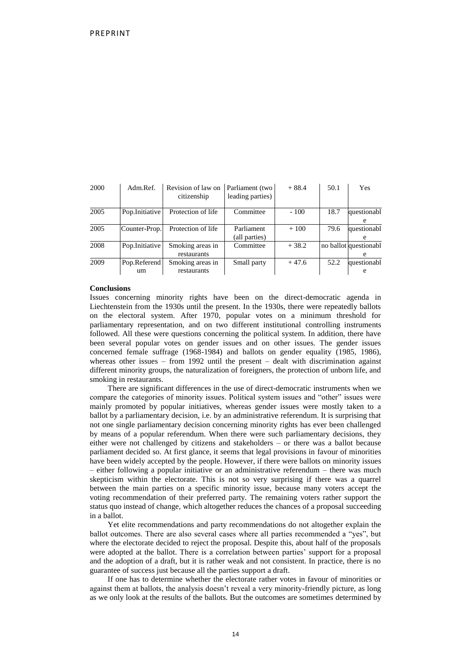| 2000 | Adm.Ref.           | Revision of law on<br>citizenship | Parliament (two<br>leading parties) | $+88.4$ | 50.1 | Yes                        |
|------|--------------------|-----------------------------------|-------------------------------------|---------|------|----------------------------|
| 2005 | Pop.Initiative     | Protection of life                | Committee                           | $-100$  | 18.7 | questionabl<br>e           |
| 2005 | Counter-Prop.      | Protection of life                | Parliament<br>(all parties)         | $+100$  | 79.6 | questionabl<br>e           |
| 2008 | Pop.Initiative     | Smoking areas in<br>restaurants   | Committee                           | $+38.2$ |      | no ballot questionabl<br>e |
| 2009 | Pop.Referend<br>um | Smoking areas in<br>restaurants   | Small party                         | $+47.6$ | 52.2 | questionabl<br>e           |

#### **Conclusions**

Issues concerning minority rights have been on the direct-democratic agenda in Liechtenstein from the 1930s until the present. In the 1930s, there were repeatedly ballots on the electoral system. After 1970, popular votes on a minimum threshold for parliamentary representation, and on two different institutional controlling instruments followed. All these were questions concerning the political system. In addition, there have been several popular votes on gender issues and on other issues. The gender issues concerned female suffrage (1968-1984) and ballots on gender equality (1985, 1986), whereas other issues – from 1992 until the present – dealt with discrimination against different minority groups, the naturalization of foreigners, the protection of unborn life, and smoking in restaurants.

There are significant differences in the use of direct-democratic instruments when we compare the categories of minority issues. Political system issues and "other" issues were mainly promoted by popular initiatives, whereas gender issues were mostly taken to a ballot by a parliamentary decision, i.e. by an administrative referendum. It is surprising that not one single parliamentary decision concerning minority rights has ever been challenged by means of a popular referendum. When there were such parliamentary decisions, they either were not challenged by citizens and stakeholders – or there was a ballot because parliament decided so. At first glance, it seems that legal provisions in favour of minorities have been widely accepted by the people. However, if there were ballots on minority issues – either following a popular initiative or an administrative referendum – there was much skepticism within the electorate. This is not so very surprising if there was a quarrel between the main parties on a specific minority issue, because many voters accept the voting recommendation of their preferred party. The remaining voters rather support the status quo instead of change, which altogether reduces the chances of a proposal succeeding in a ballot.

Yet elite recommendations and party recommendations do not altogether explain the ballot outcomes. There are also several cases where all parties recommended a "yes", but where the electorate decided to reject the proposal. Despite this, about half of the proposals were adopted at the ballot. There is a correlation between parties' support for a proposal and the adoption of a draft, but it is rather weak and not consistent. In practice, there is no guarantee of success just because all the parties support a draft.

If one has to determine whether the electorate rather votes in favour of minorities or against them at ballots, the analysis doesn't reveal a very minority-friendly picture, as long as we only look at the results of the ballots. But the outcomes are sometimes determined by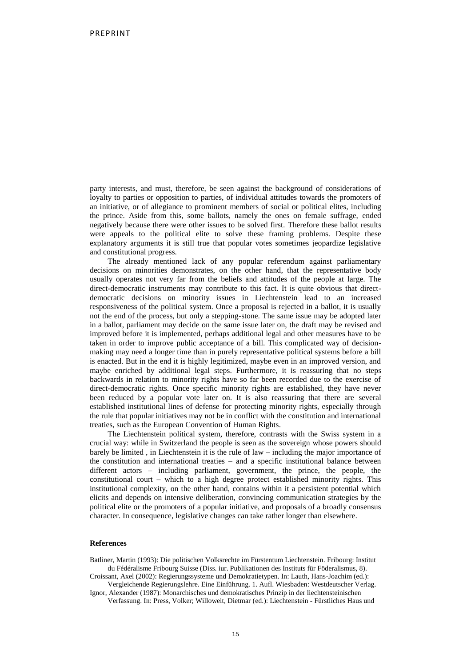party interests, and must, therefore, be seen against the background of considerations of loyalty to parties or opposition to parties, of individual attitudes towards the promoters of an initiative, or of allegiance to prominent members of social or political elites, including the prince. Aside from this, some ballots, namely the ones on female suffrage, ended negatively because there were other issues to be solved first. Therefore these ballot results were appeals to the political elite to solve these framing problems. Despite these explanatory arguments it is still true that popular votes sometimes jeopardize legislative and constitutional progress.

The already mentioned lack of any popular referendum against parliamentary decisions on minorities demonstrates, on the other hand, that the representative body usually operates not very far from the beliefs and attitudes of the people at large. The direct-democratic instruments may contribute to this fact. It is quite obvious that directdemocratic decisions on minority issues in Liechtenstein lead to an increased responsiveness of the political system. Once a proposal is rejected in a ballot, it is usually not the end of the process, but only a stepping-stone. The same issue may be adopted later in a ballot, parliament may decide on the same issue later on, the draft may be revised and improved before it is implemented, perhaps additional legal and other measures have to be taken in order to improve public acceptance of a bill. This complicated way of decisionmaking may need a longer time than in purely representative political systems before a bill is enacted. But in the end it is highly legitimized, maybe even in an improved version, and maybe enriched by additional legal steps. Furthermore, it is reassuring that no steps backwards in relation to minority rights have so far been recorded due to the exercise of direct-democratic rights. Once specific minority rights are established, they have never been reduced by a popular vote later on. It is also reassuring that there are several established institutional lines of defense for protecting minority rights, especially through the rule that popular initiatives may not be in conflict with the constitution and international treaties, such as the European Convention of Human Rights.

The Liechtenstein political system, therefore, contrasts with the Swiss system in a crucial way: while in Switzerland the people is seen as the sovereign whose powers should barely be limited , in Liechtenstein it is the rule of law – including the major importance of the constitution and international treaties – and a specific institutional balance between different actors – including parliament, government, the prince, the people, the constitutional court – which to a high degree protect established minority rights. This institutional complexity, on the other hand, contains within it a persistent potential which elicits and depends on intensive deliberation, convincing communication strategies by the political elite or the promoters of a popular initiative, and proposals of a broadly consensus character. In consequence, legislative changes can take rather longer than elsewhere.

#### **References**

Batliner, Martin (1993): Die politischen Volksrechte im Fürstentum Liechtenstein. Fribourg: Institut du Fédéralisme Fribourg Suisse (Diss. iur. Publikationen des Instituts für Föderalismus, 8).

Croissant, Axel (2002): Regierungssysteme und Demokratietypen. In: Lauth, Hans-Joachim (ed.): Vergleichende Regierungslehre. Eine Einführung. 1. Aufl. Wiesbaden: Westdeutscher Verlag.

Ignor, Alexander (1987): Monarchisches und demokratisches Prinzip in der liechtensteinischen Verfassung. In: Press, Volker; Willoweit, Dietmar (ed.): Liechtenstein - Fürstliches Haus und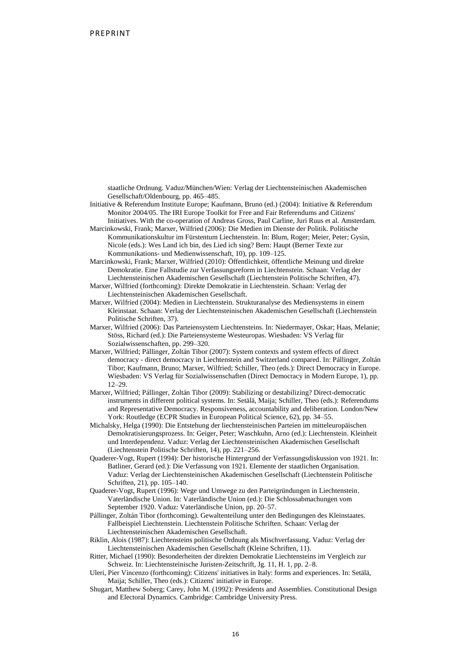staatliche Ordnung. Vaduz/München/Wien: Verlag der Liechtensteinischen Akademischen Gesellschaft/Oldenbourg, pp. 465–485.

Initiative & Referendum Institute Europe; Kaufmann, Bruno (ed.) (2004): Initiative & Referendum Monitor 2004/05. The IRI Europe Toolkit for Free and Fair Referendums and Citizens' Initiatives. With the co-operation of Andreas Gross, Paul Carline, Juri Ruus et al. Amsterdam.

Marcinkowski, Frank; Marxer, Wilfried (2006): Die Medien im Dienste der Politik. Politische Kommunikationskultur im Fürstentum Liechtenstein. In: Blum, Roger; Meier, Peter; Gysin, Nicole (eds.): Wes Land ich bin, des Lied ich sing? Bern: Haupt (Berner Texte zur Kommunikations- und Medienwissenschaft, 10), pp. 109–125.

Marcinkowski, Frank; Marxer, Wilfried (2010): Öffentlichkeit, öffentliche Meinung und direkte Demokratie. Eine Fallstudie zur Verfassungsreform in Liechtenstein. Schaan: Verlag der Liechtensteinischen Akademischen Gesellschaft (Liechtenstein Politische Schriften, 47).

- Marxer, Wilfried (forthcoming): Direkte Demokratie in Liechtenstein. Schaan: Verlag der Liechtensteinischen Akademischen Gesellschaft.
- Marxer, Wilfried (2004): Medien in Liechtenstein. Strukturanalyse des Mediensystems in einem Kleinstaat. Schaan: Verlag der Liechtensteinischen Akademischen Gesellschaft (Liechtenstein Politische Schriften, 37).
- Marxer, Wilfried (2006): Das Parteiensystem Liechtensteins. In: Niedermayer, Oskar; Haas, Melanie; Stöss, Richard (ed.): Die Parteiensysteme Westeuropas. Wiesbaden: VS Verlag für Sozialwissenschaften, pp. 299–320.
- Marxer, Wilfried; Pállinger, Zoltán Tibor (2007): System contexts and system effects of direct democracy - direct democracy in Liechtenstein and Switzerland compared. In: Pállinger, Zoltán Tibor; Kaufmann, Bruno; Marxer, Wilfried; Schiller, Theo (eds.): Direct Democracy in Europe. Wiesbaden: VS Verlag für Sozialwissenschaften (Direct Democracy in Modern Europe, 1), pp. 12–29.
- Marxer, Wilfried; Pállinger, Zoltán Tibor (2009): Stabilizing or destabilizing? Direct-democratic instruments in different political systems. In: Setälä, Maija; Schiller, Theo (eds.): Referendums and Representative Democracy. Responsiveness, accountability and deliberation. London/New York: Routledge (ECPR Studies in European Political Science, 62), pp. 34–55.
- Michalsky, Helga (1990): Die Entstehung der liechtensteinischen Parteien im mitteleuropäischen Demokratisierungsprozess. In: Geiger, Peter; Waschkuhn, Arno (ed.): Liechtenstein. Kleinheit und Interdependenz. Vaduz: Verlag der Liechtensteinischen Akademischen Gesellschaft (Liechtenstein Politische Schriften, 14), pp. 221–256.
- Quaderer-Vogt, Rupert (1994): Der historische Hintergrund der Verfassungsdiskussion von 1921. In: Batliner, Gerard (ed.): Die Verfassung von 1921. Elemente der staatlichen Organisation. Vaduz: Verlag der Liechtensteinischen Akademischen Gesellschaft (Liechtenstein Politische Schriften, 21), pp. 105–140.
- Quaderer-Vogt, Rupert (1996): Wege und Umwege zu den Parteigründungen in Liechtenstein. Vaterländische Union. In: Vaterländische Union (ed.): Die Schlossabmachungen vom September 1920. Vaduz: Vaterländische Union, pp. 20–57.
- Pállinger, Zoltán Tibor (forthcoming). Gewaltenteilung unter den Bedingungen des Kleinstaates. Fallbeispiel Liechtenstein. Liechtenstein Politische Schriften. Schaan: Verlag der Liechtensteinischen Akademischen Gesellschaft.
- Riklin, Alois (1987): Liechtensteins politische Ordnung als Mischverfassung. Vaduz: Verlag der Liechtensteinischen Akademischen Gesellschaft (Kleine Schriften, 11).
- Ritter, Michael (1990): Besonderheiten der direkten Demokratie Liechtensteins im Vergleich zur Schweiz. In: Liechtensteinische Juristen-Zeitschrift, Jg. 11, H. 1, pp. 2–8.
- Uleri, Pier Vincenzo (forthcoming): Citizens' initiatives in Italy: forms and experiences. In: Setälä, Maija; Schiller, Theo (eds.): Citizens' initiative in Europe.
- Shugart, Matthew Soberg; Carey, John M. (1992): Presidents and Assemblies. Constitutional Design and Electoral Dynamics. Cambridge: Cambridge University Press.